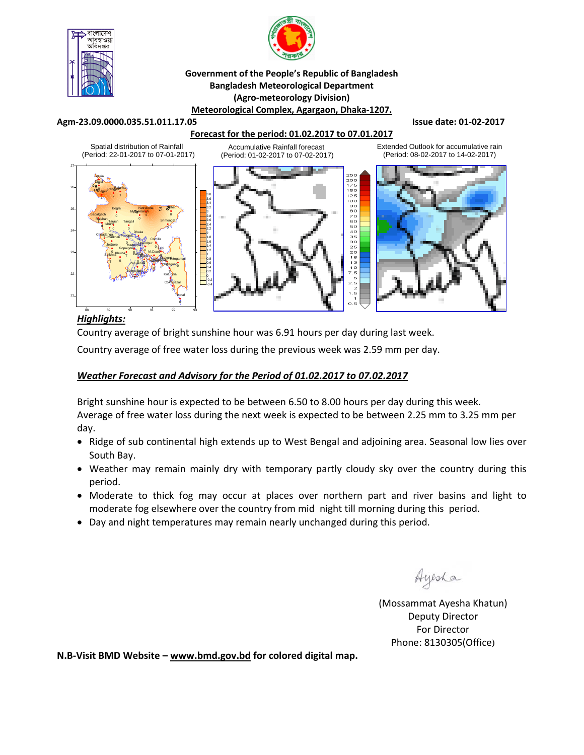



#### **Government of the People's Republic of Bangladesh Bangladesh Meteorological Department (Agro‐meteorology Division) Meteorological Complex, Agargaon, Dhaka‐1207.**

#### **Agm‐23.09.0000.035.51.011.17.05 Issue date: 01‐02‐2017**

### **Forecast for the period: 01.02.2017 to 07.01.2017**

Spatial distribution of Rainfall Extended Outlook for accumulative rain Accumulative Rainfall forecast (Period: 22-01-2017 to 07-01-2017) (Period: 01-02-2017 to 07-02-2017) (Period: 08-02-2017 to 14-02-2017) ţ 27 Tetulia Dimla 0 26 **Binajpur** Rangpur Inal 0 150  $25$ 3.8 $\frac{1}{2}$  1 1098200004330221111 3.6 3.4 Netrokona Sylhet 3.2 25 Bogra **Myggensingh** 3 Badalgachi 4 0 0 2.8 Rajshahi Tarash Tangal 0 Srimongal 2.6 1 Tarash **Tangail** Ishurdi 2.4  $\mathbb{R}$  or  $\mathbb{R}$  of  $\mathbb{R}$ 0 2.2 24 0 Dhaka 2 Chuadanga Faridpur Kumarkhali 1.8 0 Comilla 0 1.6 0 **Chandpur Jessore** 0 Madaripur 1.4 Gopalgonj Feni 0 1.2 0 M.Court 23 Khulna  $\overline{\mathbf{q}}$ Bar<sub>isal Ba</sub>ra **Satkhira** T 0 Sitakunda <sub>ngamati</sub> 0 0.8 0 **Hatiya Ra**  $9 - 1$ T Patuakhali 0.6 Chittagong 08agomy<sub>o</sub> 0 0 0.4 Khepupara T T 0.2 22 Kutubdia 0 T -0.2 Cox<sup>8</sup>Bazar -0.4 Teknaf 21 0 88 89 90 91 92 93

## *Highlights:*

Country average of bright sunshine hour was 6.91 hours per day during last week.

Country average of free water loss during the previous week was 2.59 mm per day.

## *Weather Forecast and Advisory for the Period of 01.02.2017 to 07.02.2017*

Bright sunshine hour is expected to be between 6.50 to 8.00 hours per day during this week. Average of free water loss during the next week is expected to be between 2.25 mm to 3.25 mm per day.

- Ridge of sub continental high extends up to West Bengal and adjoining area. Seasonal low lies over South Bay.
- Weather may remain mainly dry with temporary partly cloudy sky over the country during this period.
- Moderate to thick fog may occur at places over northern part and river basins and light to moderate fog elsewhere over the country from mid night till morning during this period.
- Day and night temperatures may remain nearly unchanged during this period.

Ayesha

(Mossammat Ayesha Khatun) Deputy Director For Director Phone: 8130305(Office)

**N.B‐Visit BMD Website – www.bmd.gov.bd for colored digital map.**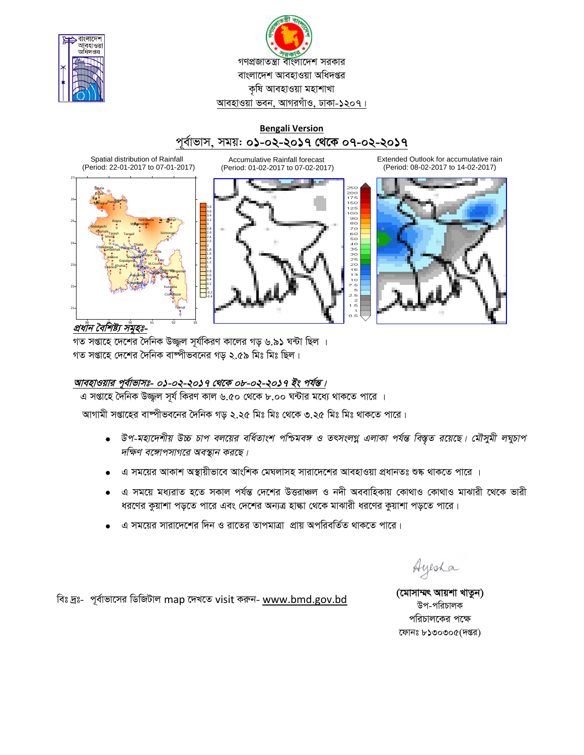



## **Bengali Version** পূর্বাভাস, সময়: ০১-০২-২০১৭ থেকে ০৭-০২-২০১৭

**Accumulative Rainfall forecast** 

(Period: 01-02-2017 to 07-02-2017)

Spatial distribution of Rainfall (Period: 22-01-2017 to 07-01-2017)



200<br>175  Extended Outlook for accumulative rain (Period: 08-02-2017 to 14-02-2017)



প্রধান বৈশিষ্ট্য সঁমুহঃ-

গত সপ্তাহে দেশের দৈনিক উজ্জ্বল সূর্যকিরণ কালের গড় ৬.৯১ ঘন্টা ছিল । গত সপ্তাহে দেশের দৈনিক বাষ্পীভবনের গড ২.৫৯ মিঃ মিঃ ছিল।

# আবহাওয়ার পূর্বাভাসঃ- ০১-০২-২০১৭ থেকে ০৮-০২-২০১৭ ইং পর্যন্ত।

এ সপ্তাহে দৈনিক উজ্জল সূর্য কিরণ কাল ৬.৫০ থেকে ৮.০০ ঘন্টার মধ্যে থাকতে পারে ।

আগামী সপ্তাহের বাষ্পীভবনের দৈনিক গড় ২.২৫ মিঃ মিঃ থেকে ৩.২৫ মিঃ মিঃ থাকতে পারে।

- উপ-মহাদেশীয় উচ্চ চাপ বলয়ের বর্ধিতাংশ পশ্চিমবঙ্গ ও তৎসংলগ্ন এলাকা পর্যন্ত বিস্তৃত রয়েছে। মৌসুমী লঘুচাপ  $\bullet$ দক্ষিণ বঙ্গোপসাগরে অবস্থান করছে।
- এ সময়ের আকাশ অস্থায়ীভাবে আংশিক মেঘলাসহ সারাদেশের আবহাওয়া প্রধানতঃ শুষ্ক থাকতে পারে ।
- এ সময়ে মধ্যরাত হতে সকাল পর্যন্ত দেশের উত্তরাঞ্চল ও নদী অববাহিকায় কোথাও কোথাও মাঝারী থেকে ভারী ধরণের কুয়াশা পড়তে পারে এবং দেশের অন্যত্র হাল্কা থেকে মাঝারী ধরণের কুয়াশা পড়তে পারে।
- এ সময়ের সারাদেশের দিন ও রাতের তাপমাত্রা প্রায় অপরিবর্তিত থাকতে পারে।

Ayesha

বিঃ দ্রঃ- পূর্বাভাসের ডিজিটাল map দেখতে visit করুন- www.bmd.gov.bd

(মোসাম্মৎ আয়শা খাতুন) উপ-পরিচালক পরিচালকের পক্ষে ফোনঃ ৮১৩০৩০৫(দপ্তর)